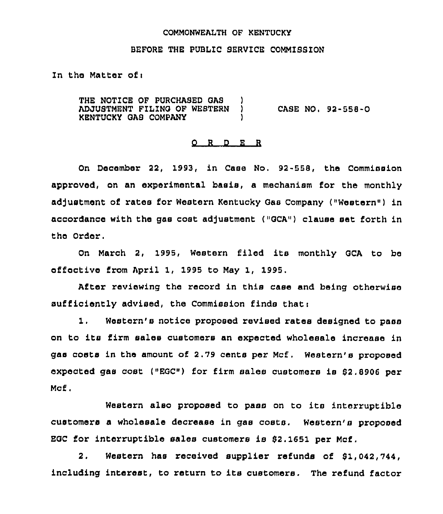# COMMONWEALTH OF KENTUCKY

## BEFORE THE PUBLIC SERVICE COMMISSION

ln the Matter of <sup>i</sup>

THE NOTICE OF PURCHASED GAS ADJUSTMENT FILING OF WESTERN ) KENTUCKY GAS COMPANY ) CASE NO. 92-558-0

#### 0 <sup>R</sup> <sup>D</sup> E <sup>R</sup>

On December 22, 1993, in Case No. 92-558, the Commission approved, on an experimental basis, a mechanism for the monthly adjustment of rates for Western Kentucky Gas Company ("Western") in accordance with the gas cost adjustment (»GCA»1 clause set forth in the Order.

On March 2, 1995, Western filed its monthly GCA to be effective from April 1, 1995 to May 1, 1995.

After reviewing the record in this case and being otherwise sufficiently advised, the Commission finds that <sup>i</sup>

1. Western's notice proposed revised rates designed to pass on to its firm sales customers an expected wholesale increase in gas costs in the amount of 2.79 cents per Mcf. Western's proposed expected gas cost (»EGC») for firm sales customers is 52.8906 per Mcf.

Western also proposed to pass on to its interruptible customers a wholesale decrease in gas costs. Western's proposed EGC for interruptible sales customers is 52.1651 per Mcf.

2. Western has received supplier refunds of 51,042,744, including interest, to return to its customers. The refund factor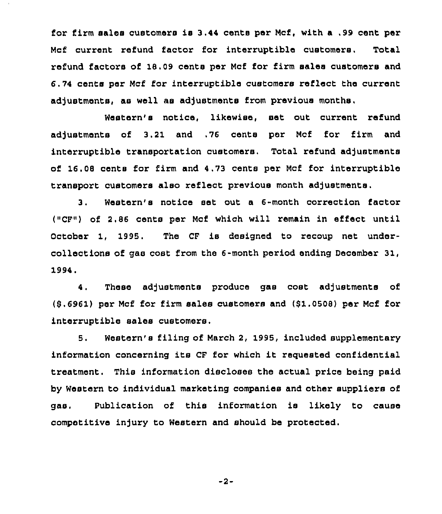for firm sales customers is 3.44 cents per Mcf, with <sup>a</sup> .99 cent per Mcf current refund factor for interruptible customers. Total refund factors of 18.09 cents per Mcf for firm sales customers and 6.74 cents per Mcf for interruptible customers reflect the current adjustments, as well as adjustments from previous months.

Western's notice, likewise, set out current refund adjustments of 3.21 and .76 cents per Mcf for firm and interruptible transportation customers. Total refund adjustments of 16.08 cents for firm and 4.73 cents per Mcf for interruptible transport customers also reflect previous month adjustments.

3. Western's notice set out a 6-month correction factor (»CF») of 2.86 cents per Mcf which will remain in effect until October 1, 1995. The CF is designed to recoup net undercollections of gas cost from the 6-month period ending December 31, 1994.

4. These adjustments produce gas cost adjustments of (8.6961) per Mcf for firm sales customers and (\$1.0508) per Mcf for interruptible sales customers.

5. Western's filing of March 2, 1995, included supplementary information concerning its CF for which it requested confidential treatment. This information discloses the actual price being paid by Western to individual marketing companies and other suppliers of gas. Publication of this information is likely to cause competitive injury to Western and should be protected.

-2-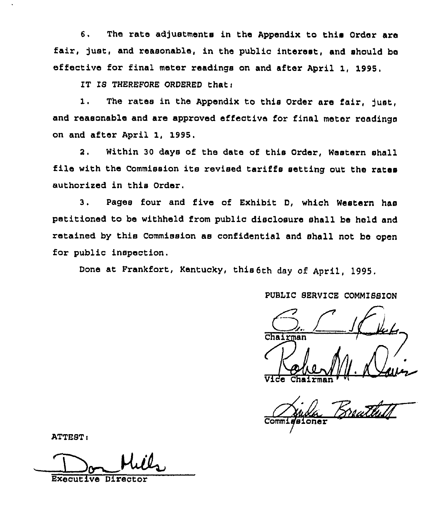6. The rate adjustments in the Appendix to this Order are fair, just, and reasonable, in the public interest, and should be effective for final meter readings on and after April 1, 1995,

IT IS THEREFORE ORDERED that  $\iota$ 

1. The rates in the Appendix to this Order are fair, just, and reasonable and are approved effective for final meter readings on and after April 1, 1995.

2. Within 30 days of the date of this Order, Western shall file with the Commission its revised tariffs setting out the rates authorised in this order.

3. Pages four and five of Exhibit D, which Western has petitioned to be withheld from public disclosure shall be held and retained by this Commission as confidential and shall not be open for public inspection.

Done at Frankfort, Kentucky, this 6th day of April, 1995.

PUBLIC SERVICE COMMISSION

 $\frac{C_{n}}{C_{n}}$   $\frac{C_{n}}{C_{n}}$ 1. Dav

Vide Chairman <sup>, vt</sup>

Commissioner

ATTEST:

Executive Director